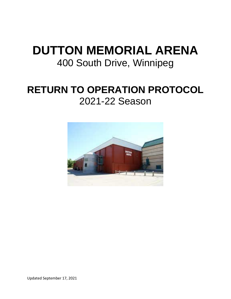# **DUTTON MEMORIAL ARENA** 400 South Drive, Winnipeg

# **RETURN TO OPERATION PROTOCOL** 2021-22 Season

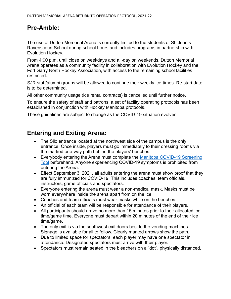## **Pre-Amble:**

The use of Dutton Memorial Arena is currently limited to the students of St. John's-Ravenscourt School during school hours and includes programs in partnership with Evolution Hockey.

From 4:00 p.m. until close on weekdays and all-day on weekends, Dutton Memorial Arena operates as a community facility in collaboration with Evolution Hockey and the Fort Garry North Hockey Association, with access to the remaining school facilities restricted.

SJR staff/alumni groups will be allowed to continue their weekly ice-times. Re-start date is to be determined.

All other community usage (ice rental contracts) is cancelled until further notice.

To ensure the safety of staff and patrons, a set of facility operating protocols has been established in conjunction with Hockey Manitoba protocols.

These guidelines are subject to change as the COVID-19 situation evolves.

#### **Entering and Exiting Arena:**

- The Silo entrance located at the northwest side of the campus is the only entrance. Once inside, players must go immediately to their dressing rooms via the marked one-way path behind the players' benches.
- Everybody entering the Arena must complete the Manitoba COVID-19 Screening [Tool](https://sharedhealthmb.ca/covid19/screening-tool/) beforehand. Anyone experiencing COVID-19 symptoms is prohibited from entering the Arena.
- Effect September 3, 2021, all adults entering the arena must show proof that they are fully immunized for COVID-19. This includes coaches, team officials, instructors, game officials and spectators.
- Everyone entering the arena must wear a non-medical mask. Masks must be worn everywhere inside the arena apart from on the ice.
- Coaches and team officials must wear masks while on the benches.
- An official of each team will be responsible for attendance of their players.
- All participants should arrive no more than 15 minutes prior to their allocated ice time/game time. Everyone must depart within 20 minutes of the end of their ice time/game.
- The only exit is via the southwest exit doors beside the vending machines. Signage is available for all to follow. Clearly marked arrows show the path.
- Due to limited space for spectators, each player may have one spectator in attendance. Designated spectators must arrive with their player.
- Spectators must remain seated in the bleachers on a "dot", physically distanced.